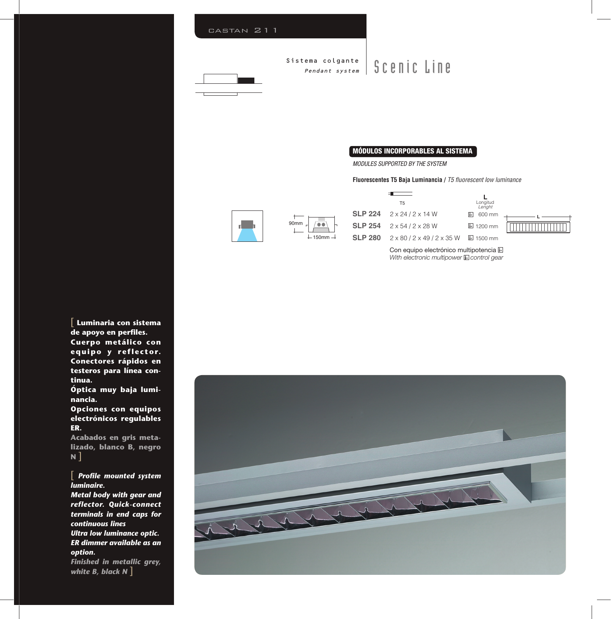

### **MÓDULOS INCORPORABLES AL SISTEMA**

MODULES SUPPORTED BY THE SYSTEM

### **Fluorescentes T5 Baja Luminancia /** T5 fluorescent low luminance



| $-150$ mm $\cdot$<br>┶ |  |
|------------------------|--|



Con equipo electrónico multipotencia E With electronic multipower  $E$  control gear

[ **Luminaria con sistema**  de apoyo en perfiles. **Cuerpo metálico con equipo y reflector. Conectores rápidos en testeros para línea continua.**

**Óptica muy baja luminancia.**

**Opciones con equipos electrónicos regulables ER.**

**Acabados en gris metalizado, blanco B, negro N** ]

**Profile mounted system** *luminaire.*

*Metal body with gear and reflector. Quick-connect terminals in end caps for continuous lines Ultra low luminance optic. ER dimmer available as an option. Finished in metallic grey,* 

*white B, black N* ]